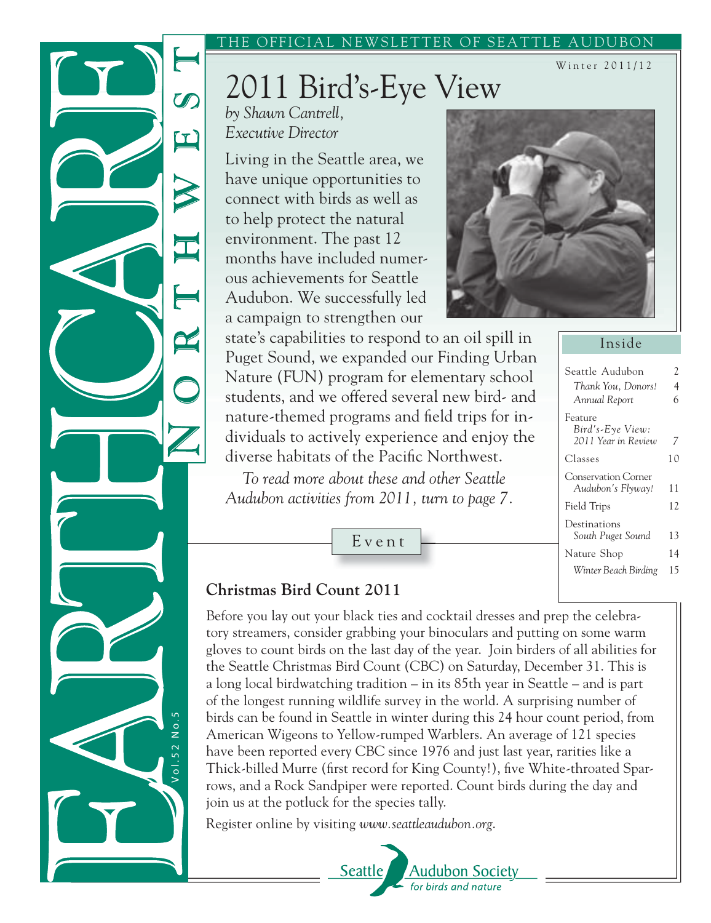#### THE OFFICIAL NEWSLETTER OF SEATTLE AUDUBON

# 2011 Bird's-Eye View

*by Shawn Cantrell, Executive Director*

 $\alpha$ 

Living in the Seattle area, we have unique opportunities to connect with birds as well as to help protect the natural environment. The past 12 months have included numerous achievements for Seattle Audubon. We successfully led a campaign to strengthen our



state's capabilities to respond to an oil spill in Puget Sound, we expanded our Finding Urban Nature (FUN) program for elementary school students, and we offered several new bird- and nature-themed programs and field trips for individuals to actively experience and enjoy the diverse habitats of the Pacific Northwest.

*To read more about these and other Seattle Audubon activities from 2011, turn to page 7.*

Event

Inside

Winter 2011/12

| Seattle Audubon             | 2  |
|-----------------------------|----|
| Thank You, Donors!          | 4  |
| Annual Report               | 6  |
| Feature<br>Bird's-Eye View: |    |
| 2011 Year in Review         | 7  |
| Classes                     | 10 |
| <b>Conservation Corner</b>  |    |
| Audubon's Flyway!           | 11 |
| Field Trips                 | 12 |
| Destinations                |    |
| South Puget Sound           | 13 |
| Nature Shop                 | 14 |
| Winter Beach Birding        | 15 |

### **Christmas Bird Count 2011**

V o l . 5 2 N o . 5

 $101.52$ 

 $N$  o.5

Before you lay out your black ties and cocktail dresses and prep the celebratory streamers, consider grabbing your binoculars and putting on some warm gloves to count birds on the last day of the year. Join birders of all abilities for the Seattle Christmas Bird Count (CBC) on Saturday, December 31. This is a long local birdwatching tradition – in its 85th year in Seattle – and is part of the longest running wildlife survey in the world. A surprising number of birds can be found in Seattle in winter during this 24 hour count period, from American Wigeons to Yellow-rumped Warblers. An average of 121 species have been reported every CBC since 1976 and just last year, rarities like a Thick-billed Murre (first record for King County!), five White-throated Sparrows, and a Rock Sandpiper were reported. Count birds during the day and join us at the potluck for the species tally.

Register online by visiting *www.seattleaudubon.org*.

#### Seattle <u> Audubon Society</u> for birds and nature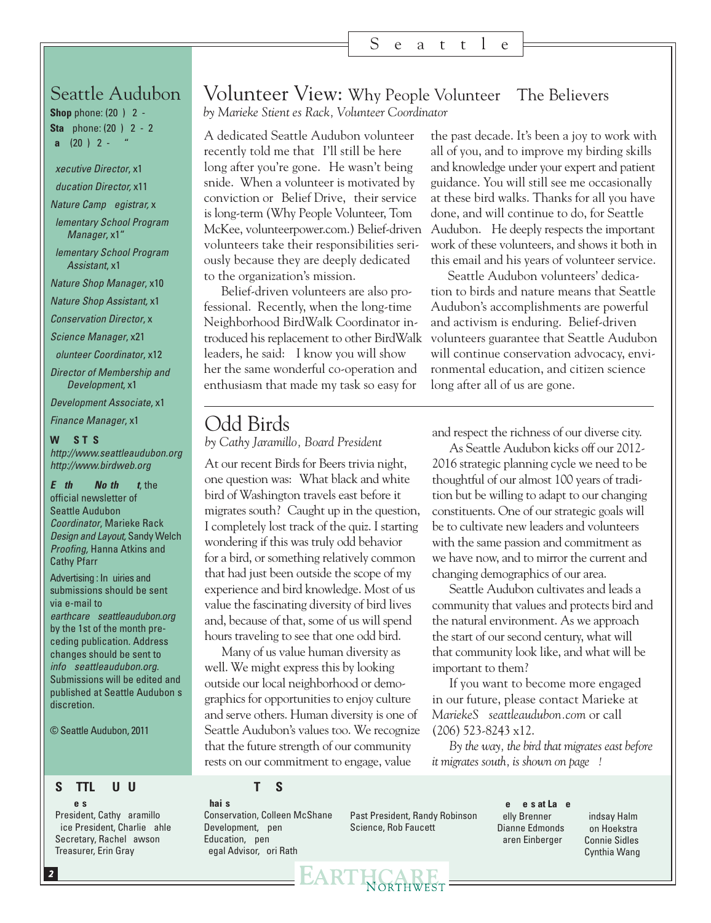#### S e a t t l e

## Seattle Audubon

**Shop** phone: (20) 2 -**Staff** phone: (20) 2 - 2 **Fa** (20) 2 -

**Executive Director, x1** 

#### *Education Director,* x11

*Nature Camp Registrar,* x36

*Elementary School Program Manager*, x1"

*Elementary School Program Assistant*, x18

*Nature Shop Manager*, x10

*Nature Shop Assistant,* x13

*Conservation Director, x* 

*Science Manager*, x21

*Volunteer Coordinator*, x12

*Director of Membership and Development*, x16

*Development Associate*, x14

*Finance Manager*, x1

#### **WEB SITES**

*http://www.seattleaudubon.org http://www.birdweb.org*

*Earthcare Northwest*, the official newsletter of Seattle Audubon *Coordinator*, Marieke Rack *Design and Layout,* Sandy Welch *Proofing,* Hanna Atkins and Cathy Pfarr

Advertising : In uiries and submissions should be sent via e-mail to *earthcare@seattleaudubon.org* by the 1st of the month preceding publication. Address changes should be sent to *info@seattleaudubon.org*. Submissions will be edited and published at Seattle Audubon's discretion.

© Seattle Audubon, 2011

#### Volunteer View: Why People Volunteer—The Believers *by Marieke Stientjes Rack, Volunteer Coordinator*

A dedicated Seattle Audubon volunteer recently told me that I'll still be here long after you're gone. He wasn't being snide. When a volunteer is motivated by conviction or Belief Drive, their service is long-term (Why People Volunteer, Tom volunteers take their responsibilities seriously because they are deeply dedicated to the organization's mission.

Belief-driven volunteers are also professional. Recently, when the long-time Neighborhood BirdWalk Coordinator introduced his replacement to other BirdWalk leaders, he said: I know you will show her the same wonderful co-operation and enthusiasm that made my task so easy for

McKee, volunteerpower.com.) Belief-driven Audubon." He deeply respects the important the past decade. It's been a joy to work with all of you, and to improve my birding skills and knowledge under your expert and patient guidance. You will still see me occasionally at these bird walks. Thanks for all you have done, and will continue to do, for Seattle work of these volunteers, and shows it both in this email and his years of volunteer service.

> Seattle Audubon volunteers' dedication to birds and nature means that Seattle Audubon's accomplishments are powerful and activism is enduring. Belief-driven volunteers guarantee that Seattle Audubon will continue conservation advocacy, environmental education, and citizen science long after all of us are gone.

### Odd Birds

*by Cathy Jaramillo, Board President*

At our recent Birds for Beers trivia night, one question was: "What black and white bird of Washington travels east before it migrates south? Caught up in the question, I completely lost track of the quiz. I starting wondering if this was truly odd behavior for a bird, or something relatively common that had just been outside the scope of my experience and bird knowledge. Most of us value the fascinating diversity of bird lives and, because of that, some of us will spend hours traveling to see that one odd bird.

Many of us value human diversity as well. We might express this by looking outside our local neighborhood or demographics for opportunities to enjoy culture and serve others. Human diversity is one of Seattle Audubon's values too. We recognize that the future strength of our community rests on our commitment to engage, value

EARTHCA

and respect the richness of our diverse city.

As Seattle Audubon kicks off our 2012- 2016 strategic planning cycle we need to be thoughtful of our almost 100 years of tradition but be willing to adapt to our changing constituents. One of our strategic goals will be to cultivate new leaders and volunteers with the same passion and commitment as we have now, and to mirror the current and changing demographics of our area.

Seattle Audubon cultivates and leads a community that values and protects bird and the natural environment. As we approach the start of our second century, what will that community look like, and what will be important to them?

If you want to become more engaged in our future, please contact Marieke at *MariekeS@seattleaudubon.com* or call (206) 523-8243 x12.

*By the way, the bird that migrates east before it migrates south, is shown on page* !

#### **SEATTLE AUDUBON BOARD OF DIRECTORS**

**Officers**

President, Cathy Jaramillo Vice President, Charlie Kahle Secretary, Rachel Lawson Treasurer, Erin Gray

**Chairs** Conservation, Colleen McShane Development, pen Education, pen Legal Advisor, Lori Rath

Past President, Randy Robinson Science, Rob Faucett

**Members at Large** Kelly Brenner Dianne Edmonds Karen Einberger

Lindsay Halm Jon Hoekstra Connie Sidles Cynthia Wang

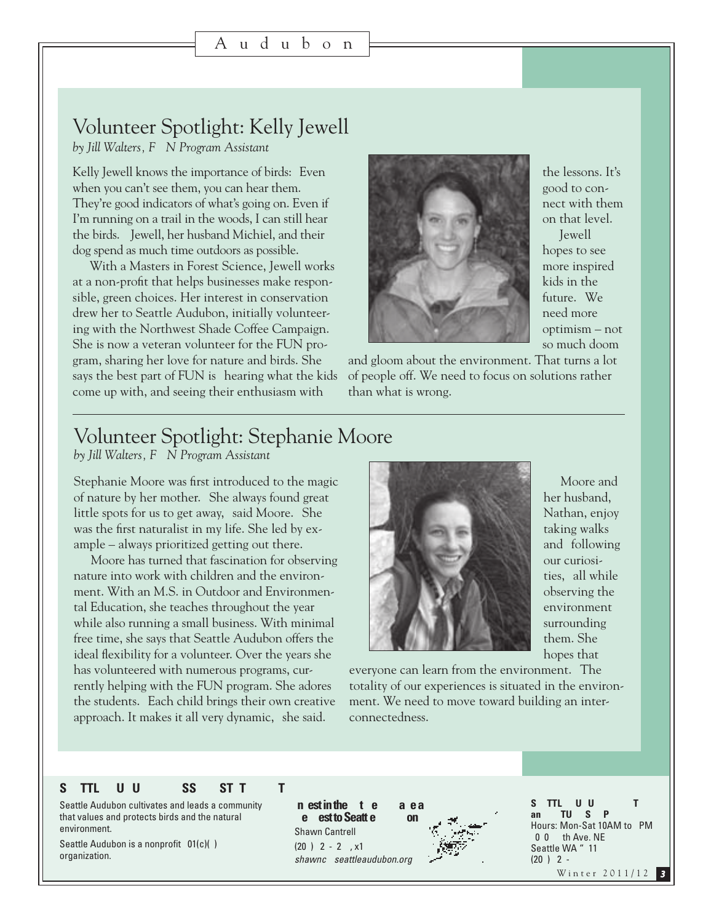## Volunteer Spotlight: Kelly Jewell

*by Jill Walters, F N Program Assistant* 

Kelly Jewell knows the importance of birds: Even when you can't see them, you can hear them. They're good indicators of what's going on. Even if I'm running on a trail in the woods, I can still hear the birds." Jewell, her husband Michiel, and their dog spend as much time outdoors as possible.

With a Masters in Forest Science, Jewell works at a non-profit that helps businesses make responsible, green choices. Her interest in conservation drew her to Seattle Audubon, initially volunteering with the Northwest Shade Coffee Campaign. She is now a veteran volunteer for the FUN program, sharing her love for nature and birds. She says the best part of FUN is hearing what the kids come up with, and seeing their enthusiasm with



the lessons. It's good to connect with them on that level." Jewell hopes to see more inspired kids in the future. We need more optimism – not so much doom

and gloom about the environment. That turns a lot of people off. We need to focus on solutions rather than what is wrong.

## Volunteer Spotlight: Stephanie Moore

*by Jill Walters, F*  $\bar{N}$  *Program Assistant* 

Stephanie Moore was first introduced to the magic of nature by her mother. "She always found great little spots for us to get away, said Moore. She was the first naturalist in my life. She led by example  $-$  always prioritized getting out there.

Moore has turned that fascination for observing nature into work with children and the environment. With an M.S. in Outdoor and Environmental Education, she teaches throughout the year while also running a small business. With minimal free time, she says that Seattle Audubon offers the ideal flexibility for a volunteer. Over the years she has volunteered with numerous programs, currently helping with the FUN program. She adores the students. Each child brings their own creative approach. It makes it all very dynamic," she said.



Moore and her husband, Nathan, enjoy taking walks and following our curiosities," all while observing the environment surrounding them. She hopes that

everyone can learn from the environment. The totality of our experiences is situated in the environment. We need to move toward building an interconnectedness."

#### **SEATTLE AUDUBON MISSION STATEMENT**

Seattle Audubon cultivates and leads a community that values and protects birds and the natural environment.

Seattle Audubon is a nonprofit  $01(c)$ () organization.

**In est in the Ft re** Mae a **Be** est to Seatt e A bon Shawn Cantrell  $(20) 2 - 2$ , x1 *shawnc@seattleaudubon.org*



Winter 2011/12 **SEATTLE AUDUBON CENTER**  an NATURES OP Hours: Mon-Sat 10AM to PM 0 0 th Ave. NE Seattle WA " 11  $(20) 2 -$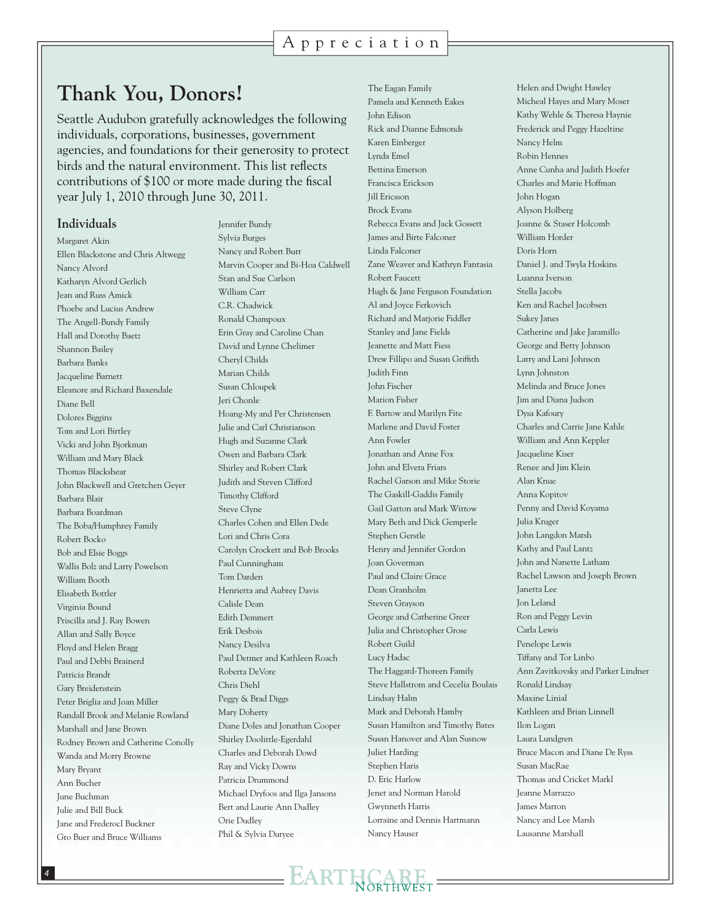#### Appreciation

## **Thank You, Donors!**

Seattle Audubon gratefully acknowledges the following individuals, corporations, businesses, government agencies, and foundations for their generosity to protect birds and the natural environment. This list reflects contributions of \$100 or more made during the fiscal year July 1, 2010 through June 30, 2011.

#### **Individuals**

Margaret Akin Ellen Blackstone and Chris Altwegg Nancy Alvord Katharyn Alvord Gerlich Jean and Russ Amick Phoebe and Lucius Andrew The Angell-Bundy Family Hall and Dorothy Baetz Shannon Bailey Barbara Banks Jacqueline Barnett Eleanore and Richard Baxendale Diane Bell Dolores Biggins Tom and Lori Birtley Vicki and John Bjorkman William and Mary Black Thomas Blackshear John Blackwell and Gretchen Geyer Barbara Blair Barbara Boardman The Boba/Humphrey Family Robert Bocko Bob and Elsie Boggs Wallis Bolz and Larry Powelson William Booth Elisabeth Bottler Virginia Bound Priscilla and J. Ray Bowen Allan and Sally Boyce Floyd and Helen Bragg Paul and Debbi Brainerd Patricia Brandt Gary Breidenstein Peter Briglia and Joan Miller Randall Brook and Melanie Rowland Marshall and Jane Brown Rodney Brown and Catherine Conolly Wanda and Morry Browne Mary Bryant Ann Bucher June Buchman Julie and Bill Buck Jane and Frederocl Buckner Gro Buer and Bruce Williams

Jennifer Bundy Sylvia Burges Nancy and Robert Burr Marvin Cooper and Bi-Hoa Caldwell Stan and Sue Carlson William Carr C.R. Chadwick Ronald Champoux Erin Gray and Caroline Chan David and Lynne Chelimer Cheryl Childs Marian Childs Susan Chloupek Jeri Chonle Hoang-My and Per Christensen Julie and Carl Christianson Hugh and Suzanne Clark Owen and Barbara Clark Shirley and Robert Clark Judith and Steven Clifford Timothy Clifford Steve Clyne Charles Cohen and Ellen Dede Lori and Chris Cora Carolyn Crockett and Bob Brooks Paul Cunningham Tom Darden Henrietta and Aubrey Davis Calisle Dean Edith Demmert Erik Desbois Nancy Desilva Paul Detmer and Kathleen Roach Roberta DeVore Chris Diehl Peggy & Brad Diggs Mary Doherty Diane Doles and Jonathan Cooper Shirley Doolittle-Egerdahl Charles and Deborah Dowd Ray and Vicky Downs Patricia Drummond Michael Dryfoos and Ilga Jansons Bert and Laurie Ann Dudley Orie Dudley Phil & Sylvia Duryee

The Eagan Family Pamela and Kenneth Eakes John Edison Rick and Dianne Edmonds Karen Einberger Lynda Emel Bettina Emerson Francisca Erickson Jill Ericsson Brock Evans Rebecca Evans and Jack Gossett James and Birte Falconer Linda Falconer Zane Weaver and Kathryn Fantasia Robert Faucett Hugh & Jane Ferguson Foundation Al and Joyce Ferkovich Richard and Marjorie Fiddler Stanley and Jane Fields Jeanette and Matt Fiess Drew Fillipo and Susan Griffith Judith Finn John Fischer Marion Fisher F. Bartow and Marilyn Fite Marlene and David Foster Ann Fowler Jonathan and Anne Fox John and Elvera Friars Rachel Garson and Mike Storie The Gaskill-Gaddis Family Gail Gatton and Mark Wittow Mary Beth and Dick Gemperle Stephen Gerstle Henry and Jennifer Gordon Joan Goverman Paul and Claire Grace Dean Granholm Steven Grayson George and Catherine Greer Julia and Christopher Grose Robert Guild Lucy Hadac The Haggard-Thoreen Family Steve Hallstrom and Cecelia Boulais Lindsay Halm Mark and Deborah Hamby Susan Hamilton and Timothy Bates Susan Hanover and Alan Susnow Juliet Harding Stephen Haris D. Eric Harlow Jenet and Norman Harold Gwynneth Harris Lorraine and Dennis Hartmann Nancy Hauser

Helen and Dwight Hawley Micheal Hayes and Mary Moser Kathy Wehle & Theresa Haynie Frederick and Peggy Hazeltine Nancy Helm Robin Hennes Anne Cunha and Judith Hoefer Charles and Marie Hoffman John Hogan Alyson Holberg Joanne & Staser Holcomb William Horder Doris Horn Daniel J. and Twyla Hoskins Luanna Iverson Stella Jacobs Ken and Rachel Jacobsen Sukey Janes Catherine and Jake Jaramillo George and Betty Johnson Larry and Lani Johnson Lynn Johnston Melinda and Bruce Jones Jim and Diana Judson Dysa Kafoury Charles and Carrie Jane Kahle William and Ann Keppler Jacqueline Kiser Renee and Jim Klein Alan Knue Anna Kopitov Penny and David Koyama Julia Kruger John Langdon Marsh Kathy and Paul Lantz John and Nanette Latham Rachel Lawson and Joseph Brown Janetta Lee Jon Leland Ron and Peggy Levin Carla Lewis Penelope Lewis Tiffany and Tor Linbo Ann Zavitkovsky and Parker Lindner Ronald Lindsay Maxine Linial Kathleen and Brian Linnell Ilon Logan Laura Lundgren Bruce Macon and Diane De Ryss Susan MacRae Thomas and Cricket Markl Jeanne Marrazzo James Marron Nancy and Lee Marsh Lausanne Marshall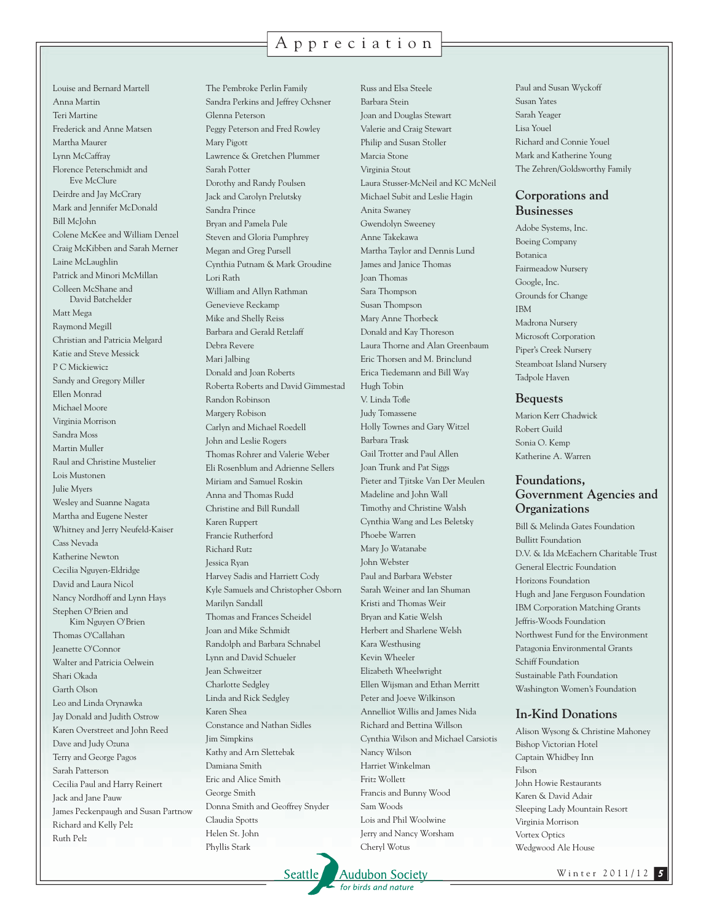#### Appreciation

Louise and Bernard Martell Anna Martin Teri Martine Frederick and Anne Matsen Martha Maurer Lynn McCaffray Florence Peterschmidt and Eve McClure Deirdre and Jay McCrary Mark and Jennifer McDonald Bill McJohn Colene McKee and William Denzel Craig McKibben and Sarah Merner Laine McLaughlin Patrick and Minori McMillan Colleen McShane and David Batchelder Matt Mega Raymond Megill Christian and Patricia Melgard Katie and Steve Messick P C Mickiewicz Sandy and Gregory Miller Ellen Monrad Michael Moore Virginia Morrison Sandra Moss Martin Muller Raul and Christine Mustelier Lois Mustonen Julie Myers Wesley and Suanne Nagata Martha and Eugene Nester Whitney and Jerry Neufeld-Kaiser Cass Nevada Katherine Newton Cecilia Nguyen-Eldridge David and Laura Nicol Nancy Nordhoff and Lynn Hays Stephen O'Brien and Kim Nguyen O'Brien Thomas O'Callahan Jeanette O'Connor Walter and Patricia Oelwein Shari Okada Garth Olson Leo and Linda Orynawka Jay Donald and Judith Ostrow Karen Overstreet and John Reed Dave and Judy Ozuna Terry and George Pagos Sarah Patterson Cecilia Paul and Harry Reinert Jack and Jane Pauw James Peckenpaugh and Susan Partnow Richard and Kelly Pelz Ruth Pelz

The Pembroke Perlin Family Sandra Perkins and Jeffrey Ochsner Glenna Peterson Peggy Peterson and Fred Rowley Mary Pigott Lawrence & Gretchen Plummer Sarah Potter Dorothy and Randy Poulsen Jack and Carolyn Prelutsky Sandra Prince Bryan and Pamela Pule Steven and Gloria Pumphrey Megan and Greg Pursell Cynthia Putnam & Mark Groudine Lori Rath William and Allyn Rathman Genevieve Reckamp Mike and Shelly Reiss Barbara and Gerald Retzlaff Debra Revere Mari Jalbing Donald and Joan Roberts Roberta Roberts and David Gimmestad Randon Robinson Margery Robison Carlyn and Michael Roedell John and Leslie Rogers Thomas Rohrer and Valerie Weber Eli Rosenblum and Adrienne Sellers Miriam and Samuel Roskin Anna and Thomas Rudd Christine and Bill Rundall Karen Ruppert Francie Rutherford Richard Rutz Jessica Ryan Harvey Sadis and Harriett Cody Kyle Samuels and Christopher Osborn Marilyn Sandall Thomas and Frances Scheidel Joan and Mike Schmidt Randolph and Barbara Schnabel Lynn and David Schueler Jean Schweitzer Charlotte Sedgley Linda and Rick Sedgley Karen Shea Constance and Nathan Sidles Jim Simpkins Kathy and Arn Slettebak Damiana Smith Eric and Alice Smith George Smith Donna Smith and Geoffrey Snyder Claudia Spotts Helen St. John Phyllis Stark

Russ and Elsa Steele Barbara Stein Joan and Douglas Stewart Valerie and Craig Stewart Philip and Susan Stoller Marcia Stone Virginia Stout Laura Stusser-McNeil and KC McNeil Michael Subit and Leslie Hagin Anita Swaney Gwendolyn Sweeney Anne Takekawa Martha Taylor and Dennis Lund James and Janice Thomas Joan Thomas Sara Thompson Susan Thompson Mary Anne Thorbeck Donald and Kay Thoreson Laura Thorne and Alan Greenbaum Eric Thorsen and M. Brinclund Erica Tiedemann and Bill Way Hugh Tobin V. Linda Tofle Judy Tomassene Holly Townes and Gary Witzel Barbara Trask Gail Trotter and Paul Allen Joan Trunk and Pat Siggs Pieter and Tjitske Van Der Meulen Madeline and John Wall Timothy and Christine Walsh Cynthia Wang and Les Beletsky Phoebe Warren Mary Jo Watanabe John Webster Paul and Barbara Webster Sarah Weiner and Ian Shuman Kristi and Thomas Weir Bryan and Katie Welsh Herbert and Sharlene Welsh Kara Westhusing Kevin Wheeler Elizabeth Wheelwright Ellen Wijsman and Ethan Merritt Peter and Joeve Wilkinson Annelliot Willis and James Nida Richard and Bettina Willson Cynthia Wilson and Michael Carsiotis Nancy Wilson Harriet Winkelman Fritz Wollett Francis and Bunny Wood Sam Woods Lois and Phil Woolwine Jerry and Nancy Worsham Cheryl Wotus

Paul and Susan Wyckoff Susan Yates Sarah Yeager Lisa Youel Richard and Connie Youel Mark and Katherine Young The Zehren/Goldsworthy Family

#### **Corporations and Businesses**

Adobe Systems, Inc. Boeing Company Botanica Fairmeadow Nursery Google, Inc. Grounds for Change IBM Madrona Nursery Microsoft Corporation Piper's Creek Nursery Steamboat Island Nursery Tadpole Haven

#### **Bequests**

Marion Kerr Chadwick Robert Guild Sonia O. Kemp Katherine A. Warren

#### **Foundations, Government Agencies and Organizations**

Bill & Melinda Gates Foundation Bullitt Foundation D.V. & Ida McEachern Charitable Trust General Electric Foundation Horizons Foundation Hugh and Jane Ferguson Foundation IBM Corporation Matching Grants Jeffris-Woods Foundation Northwest Fund for the Environment Patagonia Environmental Grants Schiff Foundation Sustainable Path Foundation Washington Women's Foundation

#### **In-Kind Donations**

Alison Wysong & Christine Mahoney Bishop Victorian Hotel Captain Whidbey Inn Filson John Howie Restaurants Karen & David Adair Sleeping Lady Mountain Resort Virginia Morrison Vortex Optics Wedgwood Ale House

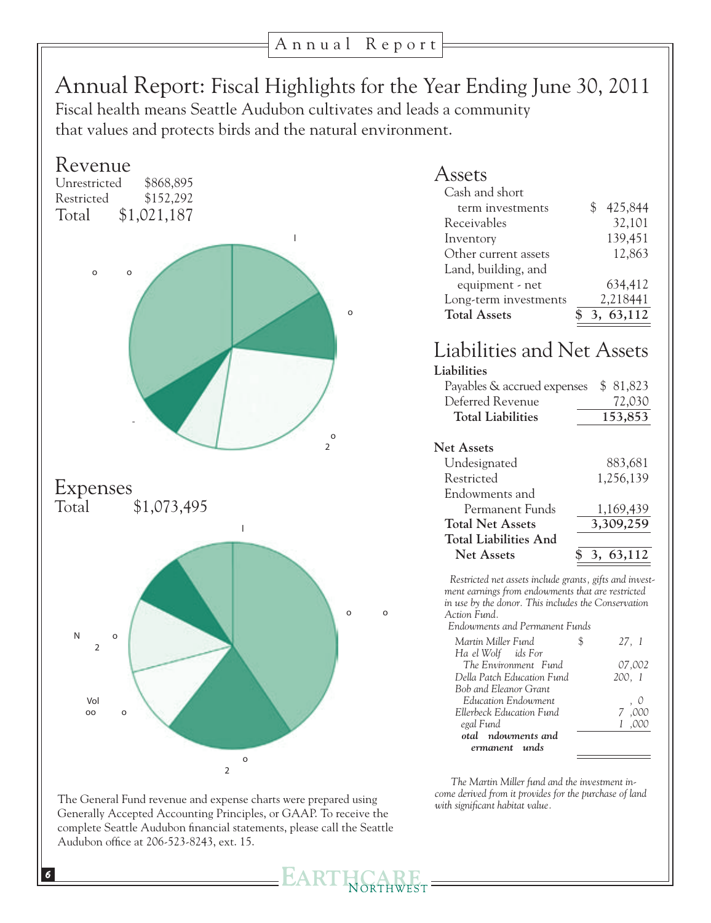# Annual Report: Fiscal Highlights for the Year Ending June 30, 2011

Fiscal health means Seattle Audubon cultivates and leads a community that values and protects birds and the natural environment.



| Assets                |    |            |
|-----------------------|----|------------|
| Cash and short        |    |            |
| term investments      | \$ | 425,844    |
| Receivables           |    | 32,101     |
| Inventory             |    | 139,451    |
| Other current assets  |    | 12,863     |
| Land, building, and   |    |            |
| equipment - net       |    | 634,412    |
| Long-term investments |    | 2,218441   |
| <b>Total Assets</b>   |    | 3, 63, 112 |

## Liabilities and Net Assets

| Liabilities                  |              |
|------------------------------|--------------|
| Payables & accrued expenses  | \$ 81,823    |
| Deferred Revenue             | 72,030       |
| <b>Total Liabilities</b>     | 153,853      |
|                              |              |
| <b>Net Assets</b>            |              |
| Undesignated                 | 883,681      |
| Restricted                   | 1,256,139    |
| Endowments and               |              |
| Permanent Funds              | 1,169,439    |
| <b>Total Net Assets</b>      | 3,309,259    |
| <b>Total Liabilities And</b> |              |
| Net Assets                   | 63,112<br>3. |
|                              |              |

*\* Restricted net assets include grants, gifts and investment earnings from endowments that are restricted in use by the donor. This includes the Conservation Action Fund.* 

*\*\* Endowments and Permanent Funds* 

| Martin Miller Fund                         | 27, I     |
|--------------------------------------------|-----------|
| Ha el Wolf ids For<br>The Environment Fund |           |
|                                            | 07,002    |
| Della Patch Education Fund                 | 200, 1    |
| Bob and Eleanor Grant                      |           |
| Education Endowment                        | . 0       |
| Ellerbeck Education Fund                   | 7.000     |
| egal Fund                                  |           |
| <b>Total Endowments and</b>                |           |
| Permanent Funds                            | 1,169,439 |

The Martin Miller fund and the investment in*come derived from it provides for the purchase of land with significant habitat value.* 

The General Fund revenue and expense charts were prepared using Generally Accepted Accounting Principles, or GAAP. To receive the complete Seattle Audubon financial statements, please call the Seattle Audubon office at 206-523-8243, ext. 15.

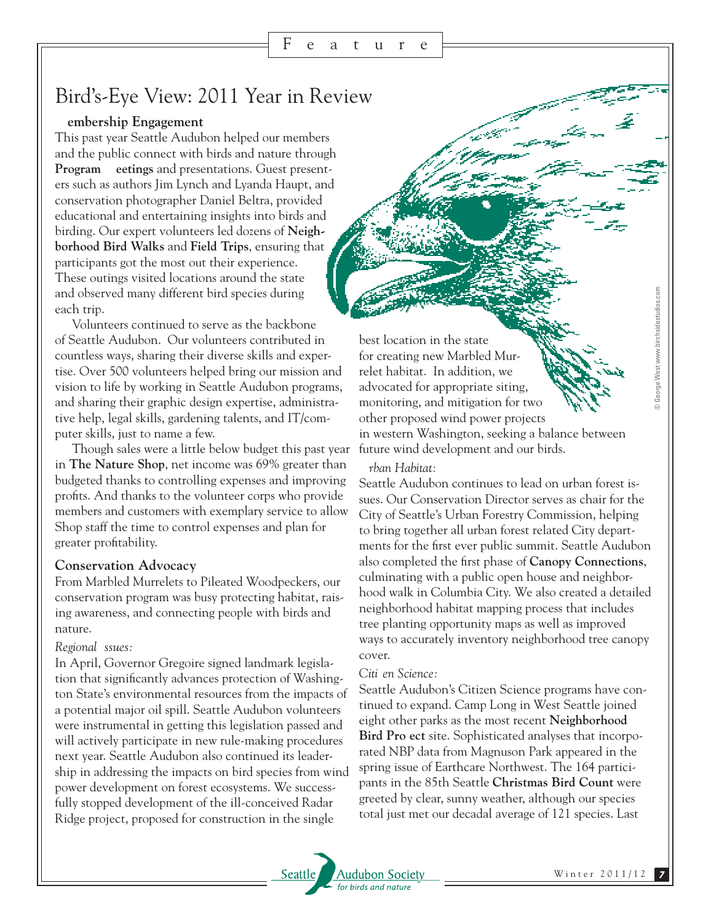## Bird's-Eye View: 2011 Year in Review

#### **Membership Engagement**

This past year Seattle Audubon helped our members and the public connect with birds and nature through **Program** eetings and presentations. Guest presenters such as authors Jim Lynch and Lyanda Haupt, and conservation photographer Daniel Beltra, provided educational and entertaining insights into birds and birding. Our expert volunteers led dozens of **Neighborhood Bird Walks** and **Field Trips**, ensuring that participants got the most out their experience. These outings visited locations around the state and observed many different bird species during each trip.

Volunteers continued to serve as the backbone of Seattle Audubon. Our volunteers contributed in countless ways, sharing their diverse skills and expertise. Over 500 volunteers helped bring our mission and vision to life by working in Seattle Audubon programs, and sharing their graphic design expertise, administrative help, legal skills, gardening talents, and IT/computer skills, just to name a few.

Though sales were a little below budget this past year in **The Nature Shop**, net income was 69% greater than budgeted thanks to controlling expenses and improving profits. And thanks to the volunteer corps who provide members and customers with exemplary service to allow Shop staff the time to control expenses and plan for greater profitability.

#### **Conservation Advocacy**

From Marbled Murrelets to Pileated Woodpeckers, our conservation program was busy protecting habitat, raising awareness, and connecting people with birds and nature.

#### *Regional* ssues:

In April, Governor Gregoire signed landmark legislation that significantly advances protection of Washington State's environmental resources from the impacts of a potential major oil spill. Seattle Audubon volunteers were instrumental in getting this legislation passed and will actively participate in new rule-making procedures next year. Seattle Audubon also continued its leadership in addressing the impacts on bird species from wind power development on forest ecosystems. We successfully stopped development of the ill-conceived Radar Ridge project, proposed for construction in the single

best location in the state for creating new Marbled Murrelet habitat. In addition, we advocated for appropriate siting, monitoring, and mitigation for two other proposed wind power projects in western Washington, seeking a balance between future wind development and our birds.

#### $rban Habitat:$

Seattle Audubon continues to lead on urban forest issues. Our Conservation Director serves as chair for the City of Seattle's Urban Forestry Commission, helping to bring together all urban forest related City departments for the first ever public summit. Seattle Audubon also completed the first phase of **Canopy Connections**, culminating with a public open house and neighborhood walk in Columbia City. We also created a detailed neighborhood habitat mapping process that includes tree planting opportunity maps as well as improved ways to accurately inventory neighborhood tree canopy cover.

#### Citi en Science:

Seattle Audubon's Citizen Science programs have continued to expand. Camp Long in West Seattle joined eight other parks as the most recent **Neighborhood**  Bird Pro ect site. Sophisticated analyses that incorporated NBP data from Magnuson Park appeared in the spring issue of Earthcare Northwest. The 164 participants in the 85th Seattle **Christmas Bird Count** were greeted by clear, sunny weather, although our species total just met our decadal average of 121 species. Last



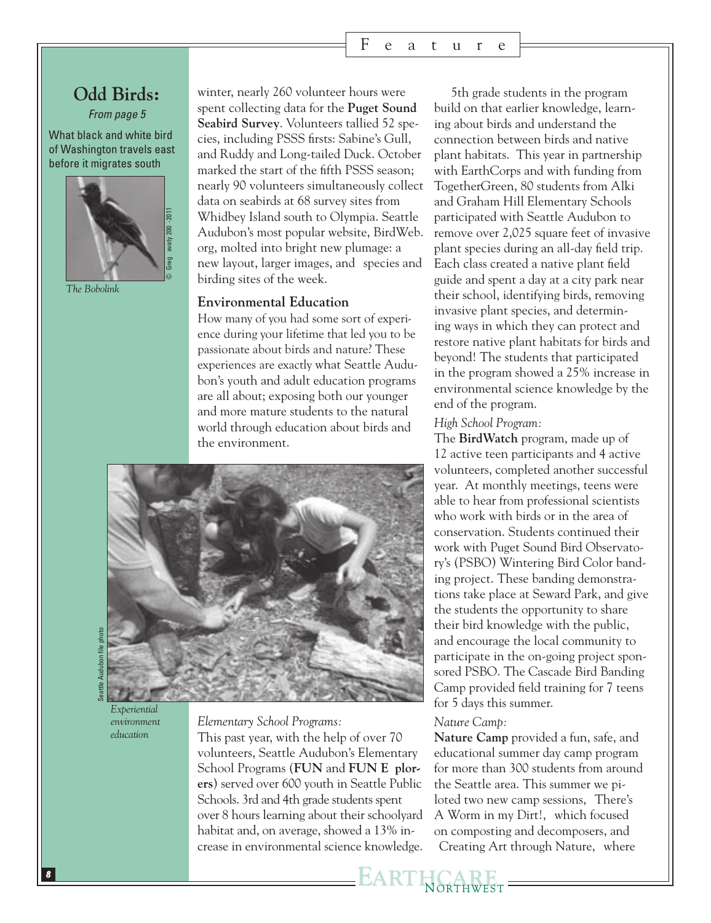### **Odd Birds:**

*From page 5*

What black and white bird of Washington travels east before it migrates south?



*The Bobolink*

winter, nearly 260 volunteer hours were spent collecting data for the **Puget Sound Seabird Survey**. Volunteers tallied 52 species, including PSSS firsts: Sabine's Gull, and Ruddy and Long-tailed Duck. October marked the start of the fifth PSSS season; nearly 90 volunteers simultaneously collect data on seabirds at 68 survey sites from Whidbey Island south to Olympia. Seattle Audubon's most popular website, BirdWeb. org, molted into bright new plumage: a new layout, larger images, and species and birding sites of the week.

#### **Environmental Education**

How many of you had some sort of experience during your lifetime that led you to be passionate about birds and nature? These experiences are exactly what Seattle Audubon's youth and adult education programs are all about; exposing both our younger and more mature students to the natural world through education about birds and the environment.



*Experiential environment education*

*Elementary School Programs:*

This past year, with the help of over 70 volunteers, Seattle Audubon's Elementary School Programs (**FUN** and **FUN E** plor**ers**) served over 600 youth in Seattle Public Schools. 3rd and 4th grade students spent over 8 hours learning about their schoolyard habitat and, on average, showed a 13% increase in environmental science knowledge.

5th grade students in the program build on that earlier knowledge, learning about birds and understand the connection between birds and native plant habitats. This year in partnership with EarthCorps and with funding from TogetherGreen, 80 students from Alki and Graham Hill Elementary Schools participated with Seattle Audubon to remove over 2,025 square feet of invasive plant species during an all-day field trip. Each class created a native plant field guide and spent a day at a city park near their school, identifying birds, removing invasive plant species, and determining ways in which they can protect and restore native plant habitats for birds and beyond! The students that participated in the program showed a 25% increase in environmental science knowledge by the end of the program.

*High School Program:* 

The **BirdWatch** program, made up of 12 active teen participants and 4 active volunteers, completed another successful year. At monthly meetings, teens were able to hear from professional scientists who work with birds or in the area of conservation. Students continued their work with Puget Sound Bird Observatory's (PSBO) Wintering Bird Color banding project. These banding demonstrations take place at Seward Park, and give the students the opportunity to share their bird knowledge with the public, and encourage the local community to participate in the on-going project sponsored PSBO. The Cascade Bird Banding Camp provided field training for 7 teens for 5 days this summer.

#### *Nature Camp:*

**Nature Camp** provided a fun, safe, and educational summer day camp program for more than 300 students from around the Seattle area. This summer we piloted two new camp sessions, There's A Worm in my Dirt!, which focused on composting and decomposers, and Creating Art through Nature, where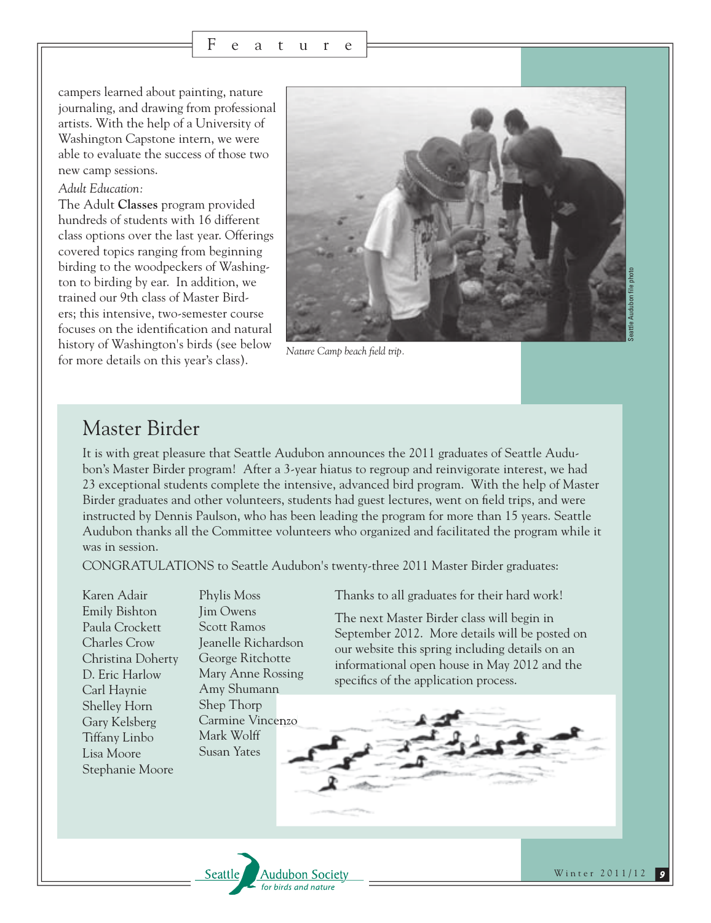campers learned about painting, nature journaling, and drawing from professional artists. With the help of a University of Washington Capstone intern, we were able to evaluate the success of those two new camp sessions.

#### *Adult Education:*

The Adult **Classes** program provided hundreds of students with 16 different class options over the last year. Offerings covered topics ranging from beginning birding to the woodpeckers of Washington to birding by ear. In addition, we trained our 9th class of Master Birders; this intensive, two-semester course focuses on the identification and natural history of Washington's birds (see below for more details on this year's class).



*Nature Camp beach field trip.*

## Master Birder

It is with great pleasure that Seattle Audubon announces the 2011 graduates of Seattle Audubon's Master Birder program! After a 3-year hiatus to regroup and reinvigorate interest, we had 23 exceptional students complete the intensive, advanced bird program. With the help of Master Birder graduates and other volunteers, students had guest lectures, went on field trips, and were instructed by Dennis Paulson, who has been leading the program for more than 15 years. Seattle Audubon thanks all the Committee volunteers who organized and facilitated the program while it was in session.

CONGRATULATIONS to Seattle Audubon's twenty-three 2011 Master Birder graduates:

Karen Adair Emily Bishton Paula Crockett Charles Crow Christina Doherty D. Eric Harlow Carl Haynie Shelley Horn Gary Kelsberg Tiffany Linbo Lisa Moore Stephanie Moore

Phylis Moss Jim Owens Scott Ramos Jeanelle Richardson George Ritchotte Mary Anne Rossing Amy Shumann Shep Thorp Carmine Vincenzo Mark Wolff Susan Yates

Thanks to all graduates for their hard work!

The next Master Birder class will begin in September 2012. More details will be posted on our website this spring including details on an informational open house in May 2012 and the



Winter 2011/12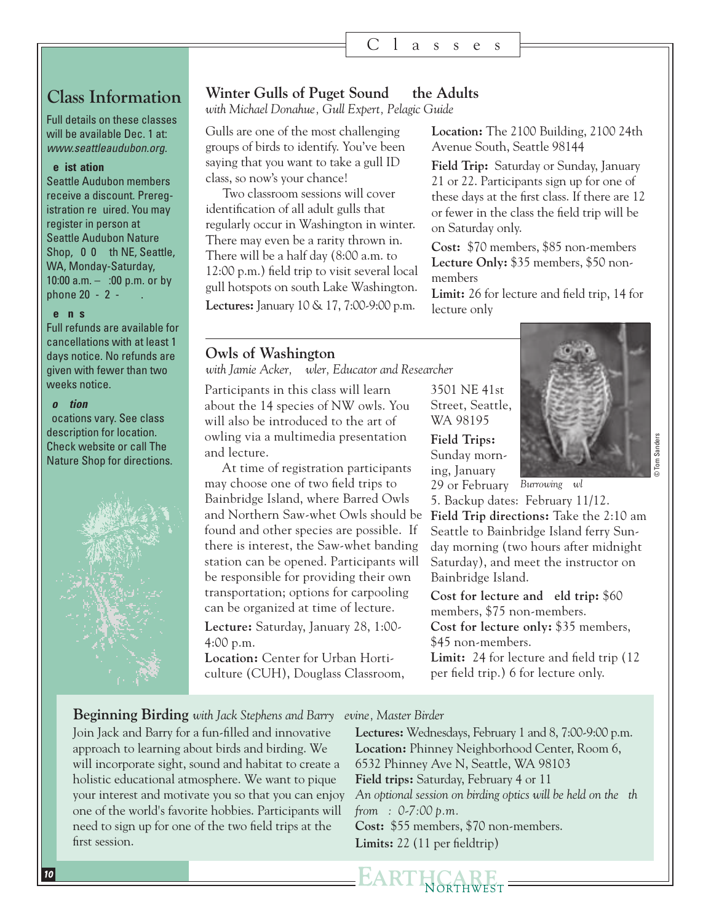### **Class Information**

Full details on these classes will be available Dec. 1 at: *www.seattleaudubon.org.*

#### **Registration:**

Seattle Audubon members receive a discount. Preregistration re uired. You may register in person at Seattle Audubon Nature Shop, 0 0 th NE, Seattle, WA, Monday-Saturday, 10:00 a.m.  $-$  :00 p.m. or by phone  $20 - 2 -$ 

#### **Ref** n s

Full refunds are available for cancellations with at least 14 days notice. No refunds are given with fewer than two weeks notice.

#### *Location:*

Locations vary. See class description for location. Check website or call The Nature Shop for directions.



#### **Winter Gulls of Puget Sound — the Adults**

*with Michael Donahue, Gull Expert, Pelagic Guide* 

Gulls are one of the most challenging groups of birds to identify. You've been saying that you want to take a gull ID class, so now's your chance!

Two classroom sessions will cover identification of all adult gulls that regularly occur in Washington in winter. There may even be a rarity thrown in. There will be a half day (8:00 a.m. to 12:00 p.m.) field trip to visit several local gull hotspots on south Lake Washington.

**Lectures:** January 10 & 17, 7:00-9:00 p.m.

#### **Owls of Washington**

with Jamie Acker, wler, Educator and Researcher

Participants in this class will learn about the 14 species of NW owls. You will also be introduced to the art of owling via a multimedia presentation and lecture.

At time of registration participants may choose one of two field trips to Bainbridge Island, where Barred Owls and Northern Saw-whet Owls should be found and other species are possible. If there is interest, the Saw-whet banding station can be opened. Participants will be responsible for providing their own transportation; options for carpooling can be organized at time of lecture.

**Lecture:** Saturday, January 28, 1:00- 4:00 p.m.

**Location:** Center for Urban Horticulture (CUH), Douglass Classroom,

3501 NE 41st Street, Seattle, WA 98195 **Field Trips:** Sunday morning, January 29 or February Burrowing wl



© Tom Sanders

5. Backup dates: February 11/12. **Field Trip directions:** Take the 2:10 am Seattle to Bainbridge Island ferry Sunday morning (two hours after midnight Saturday), and meet the instructor on Bainbridge Island.

**Location:** The 2100 Building, 2100 24th

**Field Trip:** Saturday or Sunday, January 21 or 22. Participants sign up for one of these days at the first class. If there are 12 or fewer in the class the field trip will be

**Cost:** \$70 members, \$85 non-members Lecture Only: \$35 members, \$50 non-

**Limit:** 26 for lecture and field trip, 14 for

Avenue South, Seattle 98144

on Saturday only.

members

lecture only

**Cost for lecture and eld trip:**  $$60$ members, \$75 non-members. **Cost for lecture only:** \$35 members,

\$45 non-members. **Limit:** 24 for lecture and field trip (12

per field trip.) 6 for lecture only.

**Beginning Birding** with Jack Stephens and Barry evine, Master Birder

Join Jack and Barry for a fun-filled and innovative approach to learning about birds and birding. We will incorporate sight, sound and habitat to create a holistic educational atmosphere. We want to pique your interest and motivate you so that you can enjoy one of the world's favorite hobbies. Participants will need to sign up for one of the two field trips at the first session.

**Lectures:** Wednesdays, February 1 and 8, 7:00-9:00 p.m. **Location:** Phinney Neighborhood Center, Room 6, 6532 Phinney Ave N, Seattle, WA 98103 **Field trips:** Saturday, February 4 or 11 An optional session on birding optics will be held on the th *from 6:30-7:00 p.m.*  **Cost:** \$55 members, \$70 non-members. **Limits:** 22 (11 per fieldtrip)

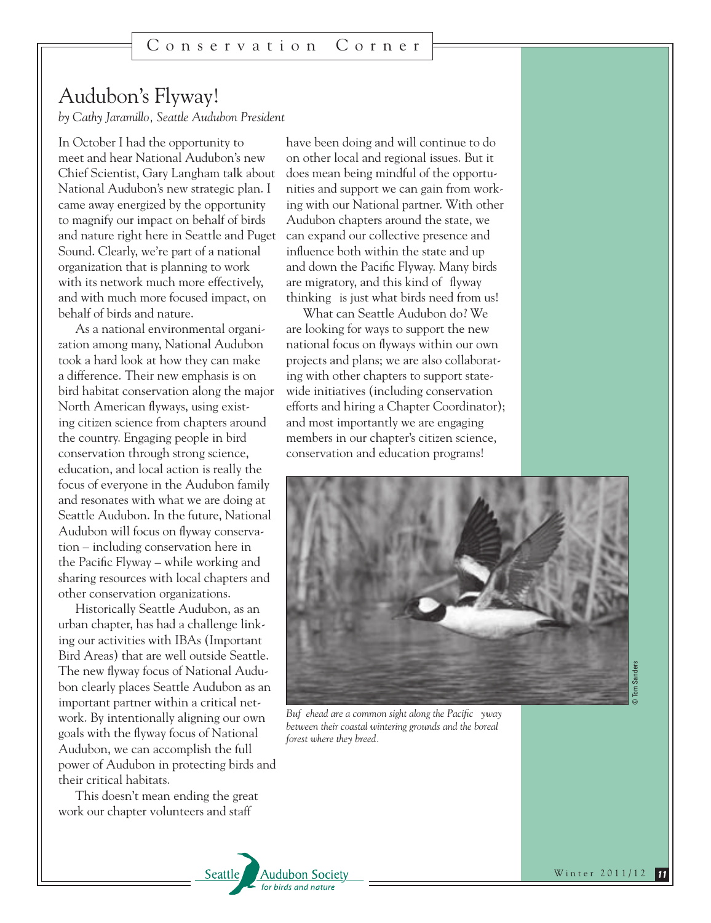## Audubon's Flyway!

*by Cathy Jaramillo, Seattle Audubon President* 

In October I had the opportunity to meet and hear National Audubon's new Chief Scientist, Gary Langham talk about National Audubon's new strategic plan. I came away energized by the opportunity to magnify our impact on behalf of birds and nature right here in Seattle and Puget Sound. Clearly, we're part of a national organization that is planning to work with its network much more effectively, and with much more focused impact, on behalf of birds and nature.

As a national environmental organization among many, National Audubon took a hard look at how they can make a difference. Their new emphasis is on bird habitat conservation along the major North American flyways, using existing citizen science from chapters around the country. Engaging people in bird conservation through strong science, education, and local action is really the focus of everyone in the Audubon family and resonates with what we are doing at Seattle Audubon. In the future, National Audubon will focus on flyway conservation – including conservation here in the Pacific Flyway – while working and sharing resources with local chapters and other conservation organizations.

Historically Seattle Audubon, as an urban chapter, has had a challenge linking our activities with IBAs (Important Bird Areas) that are well outside Seattle. The new flyway focus of National Audubon clearly places Seattle Audubon as an important partner within a critical network. By intentionally aligning our own goals with the flyway focus of National Audubon, we can accomplish the full power of Audubon in protecting birds and their critical habitats.

This doesn't mean ending the great work our chapter volunteers and staff

have been doing and will continue to do on other local and regional issues. But it does mean being mindful of the opportunities and support we can gain from working with our National partner. With other Audubon chapters around the state, we can expand our collective presence and influence both within the state and up and down the Pacific Flyway. Many birds are migratory, and this kind of flyway thinking is just what birds need from us!

What can Seattle Audubon do? We are looking for ways to support the new national focus on flyways within our own projects and plans; we are also collaborating with other chapters to support statewide initiatives (including conservation efforts and hiring a Chapter Coordinator); and most importantly we are engaging members in our chapter's citizen science, conservation and education programs!



Buf ehead are a common sight along the Pacific yway *between their coastal wintering grounds and the boreal forest where they breed.*

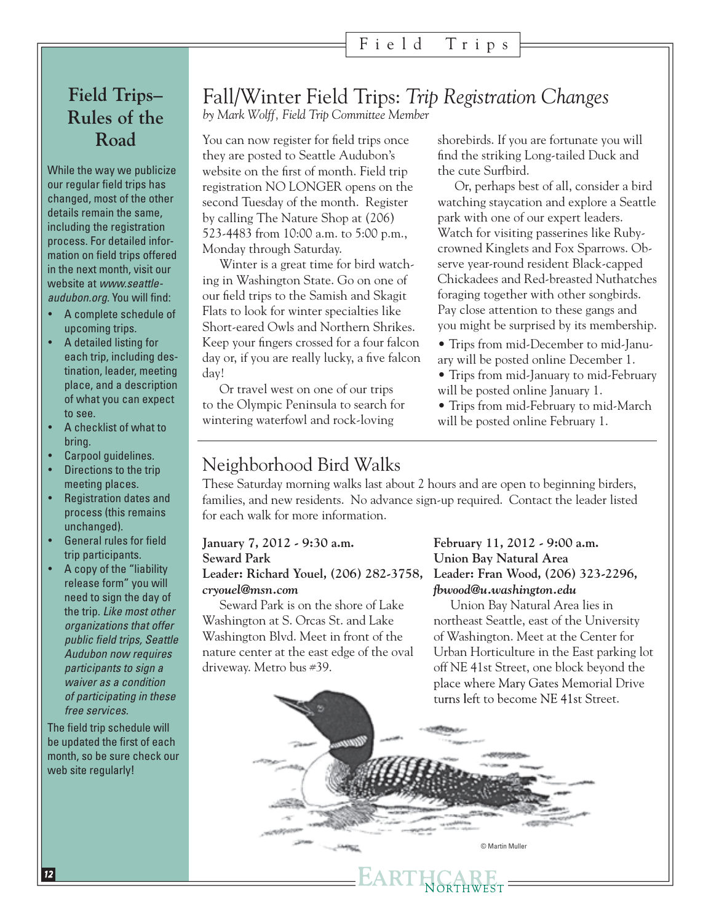### Field Trips

## **Field Trips– Rules of the Road**

While the way we publicize our regular field trips has changed, most of the other details remain the same, including the registration process. For detailed information on field trips offered in the next month, visit our website at *www.seattleaudubon.org.* You will find:

- A complete schedule of upcoming trips.
- A detailed listing for each trip, including destination, leader, meeting place, and a description of what you can expect to see.
- A checklist of what to bring.
- Carpool quidelines.
- Directions to the trip meeting places.
- **Registration dates and** process (this remains unchanged).
- General rules for field trip participants.
- A copy of the "liability release form" you will need to sign the day of the trip. *Like most other organizations that offer public field trips, Seattle Audubon now requires participants to sign a waiver as a condition of participating in these free services.*

The field trip schedule will be updated the first of each month, so be sure check our web site regularly!

## Fall/Winter Field Trips: *Trip Registration Changes*

*by Mark Wolff, Field Trip Committee Member* 

You can now register for field trips once they are posted to Seattle Audubon's website on the first of month. Field trip registration NO LONGER opens on the second Tuesday of the month. Register by calling The Nature Shop at (206) 523-4483 from 10:00 a.m. to 5:00 p.m., Monday through Saturday.

Winter is a great time for bird watching in Washington State. Go on one of our field trips to the Samish and Skagit Flats to look for winter specialties like Short-eared Owls and Northern Shrikes. Keep your fingers crossed for a four falcon day or, if you are really lucky, a five falcon day!

Or travel west on one of our trips to the Olympic Peninsula to search for wintering waterfowl and rock-loving

shorebirds. If you are fortunate you will find the striking Long-tailed Duck and the cute Surfbird.

Or, perhaps best of all, consider a bird watching staycation and explore a Seattle park with one of our expert leaders. Watch for visiting passerines like Rubycrowned Kinglets and Fox Sparrows. Observe year-round resident Black-capped Chickadees and Red-breasted Nuthatches foraging together with other songbirds. Pay close attention to these gangs and you might be surprised by its membership.

• Trips from mid-December to mid-January will be posted online December 1.

• Trips from mid-January to mid-February will be posted online January 1.

• Trips from mid-February to mid-March will be posted online February 1.

## Neighborhood Bird Walks

These Saturday morning walks last about 2 hours and are open to beginning birders, families, and new residents. No advance sign-up required. Contact the leader listed for each walk for more information.

### **January 7, 2012 - 9:30 a.m. Seward Park**

#### **Leader: Richard Youel, (206) 282-3758,**  *cryouel@msn.com*

Seward Park is on the shore of Lake Washington at S. Orcas St. and Lake Washington Blvd. Meet in front of the nature center at the east edge of the oval driveway. Metro bus #39.

#### **February 11, 2012 - 9:00 a.m. Union Bay Natural Area Leader: Fran Wood, (206) 323-2296,**  *fbwood@u.washington.edu*

Union Bay Natural Area lies in northeast Seattle, east of the University of Washington. Meet at the Center for Urban Horticulture in the East parking lot off NE 41st Street, one block beyond the place where Mary Gates Memorial Drive turns left to become NE 41st Street.

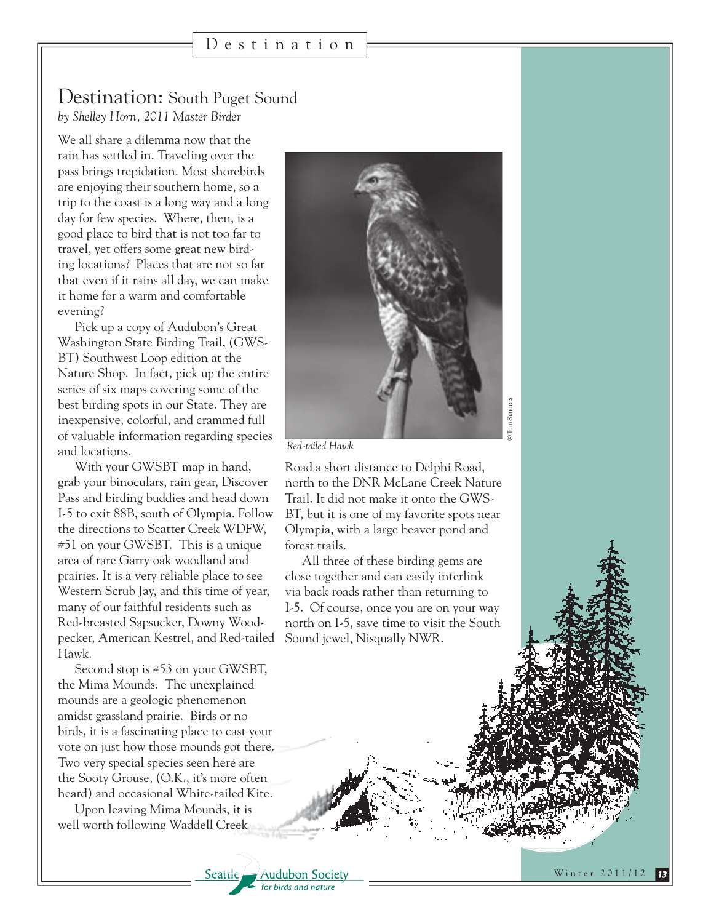#### Destination: South Puget Sound *by Shelley Horn, 2011 Master Birder*

We all share a dilemma now that the rain has settled in. Traveling over the pass brings trepidation. Most shorebirds are enjoying their southern home, so a trip to the coast is a long way and a long day for few species. Where, then, is a good place to bird that is not too far to travel, yet offers some great new birding locations? Places that are not so far that even if it rains all day, we can make it home for a warm and comfortable evening?

Pick up a copy of Audubon's Great Washington State Birding Trail, (GWS-BT) Southwest Loop edition at the Nature Shop. In fact, pick up the entire series of six maps covering some of the best birding spots in our State. They are inexpensive, colorful, and crammed full of valuable information regarding species and locations.

With your GWSBT map in hand, grab your binoculars, rain gear, Discover Pass and birding buddies and head down I-5 to exit 88B, south of Olympia. Follow the directions to Scatter Creek WDFW, #51 on your GWSBT. This is a unique area of rare Garry oak woodland and prairies. It is a very reliable place to see Western Scrub Jay, and this time of year, many of our faithful residents such as Red-breasted Sapsucker, Downy Woodpecker, American Kestrel, and Red-tailed Hawk.

Second stop is #53 on your GWSBT, the Mima Mounds. The unexplained mounds are a geologic phenomenon amidst grassland prairie. Birds or no birds, it is a fascinating place to cast your vote on just how those mounds got there. Two very special species seen here are the Sooty Grouse, (O.K., it's more often heard) and occasional White-tailed Kite.

Upon leaving Mima Mounds, it is well worth following Waddell Creek

Seattle

**Audubon Society** for birds and nature



*Red-tailed Hawk*

Road a short distance to Delphi Road, north to the DNR McLane Creek Nature Trail. It did not make it onto the GWS-BT, but it is one of my favorite spots near Olympia, with a large beaver pond and forest trails.

All three of these birding gems are close together and can easily interlink via back roads rather than returning to I-5. Of course, once you are on your way north on I-5, save time to visit the South Sound jewel, Nisqually NWR.

Winter 2011/12 *13*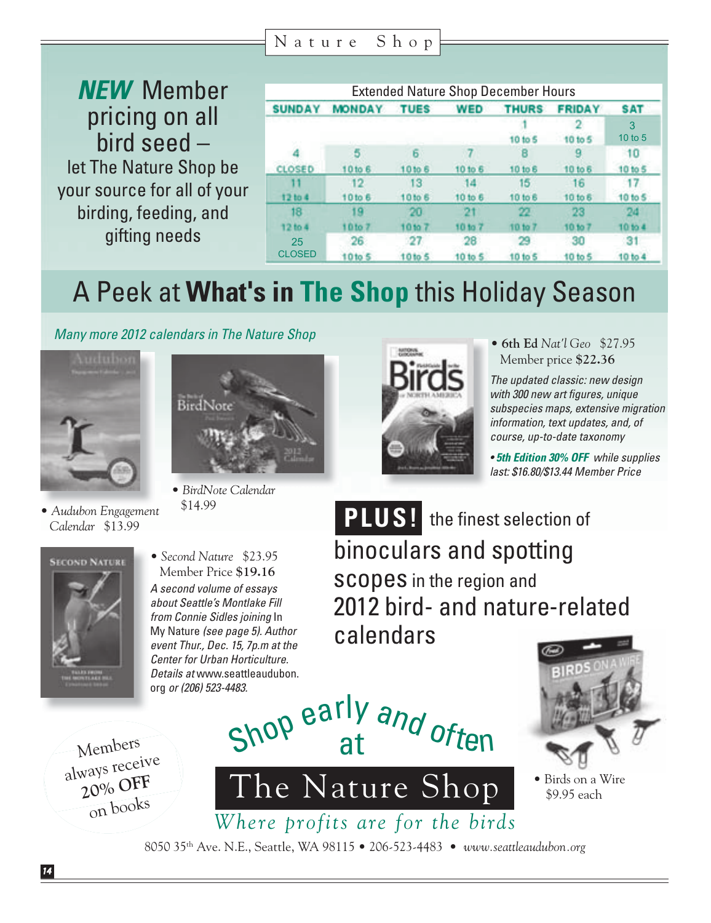Nature Shop

*NEW* Member pricing on all bird seed – let The Nature Shop be your source for all of your birding, feeding, and gifting needs

| <b>Extended Nature Shop December Hours</b> |                     |                          |               |               |               |              |
|--------------------------------------------|---------------------|--------------------------|---------------|---------------|---------------|--------------|
| <b>SUNDAY</b>                              | <b>MONDAY</b>       | <b>TUES</b>              | <b>WED</b>    | <b>THURS</b>  | <b>FRIDAY</b> | <b>SAT</b>   |
|                                            |                     |                          |               | 10 to 5       | 10 to 5       | 3<br>10 to 5 |
|                                            |                     |                          |               |               |               | 10           |
| <b>CLOSED</b>                              | 10 <sub>to</sub> 6  | 10 to 6                  | 10 to 6       | 10 to 6       | 10 to 6       | 10 to 5      |
| 12 to 4                                    | 10to 6              | 13<br>10 to 6            | 14<br>10 to 6 | 15<br>10 to 6 | 16<br>10 to 6 | 10 to 5      |
| 18                                         |                     | ĸт                       |               |               | 28            |              |
| 12 to 4                                    | 10 to               |                          |               |               |               |              |
| 25<br><b>CLOSED</b>                        | 26<br><b>10to 5</b> | 21<br>10 <sub>to</sub> 5 | 28<br>10 to 5 | 10 to 5       | 30<br>10 to 5 | 10 to 4      |

# A Peek at **What's in The Shop** this Holiday Season

*Many more 2012 calendars in The Nature Shop*



• *Audubon Engagement Calendar* \$13.99



• *BirdNote Calendar* \$14.99



• **6th Ed** *Nat'l Geo* \$27.95 Member price **\$22.36**

*The updated classic: new design with 300 new art figures, unique subspecies maps, extensive migration information, text updates, and, of course, up-to-date taxonomy*

*• 5th Edition 30% OFF while supplies last: \$16.80/\$13.44 Member Price*

**PLUS!** the finest selection of 2012 bird- and nature-related



*A second volume of essays about Seattle's Montlake Fill from Connie Sidles joining* In My Nature *(see page 5). Author event Thur., Dec. 15, 7p.m at the Center for Urban Horticulture. Details at* www.seattleaudubon. org *or (206) 523-4483.*  • *Second Nature* \$23.95 Member Price **\$19.16**

binoculars and spotting scopes in the region and calendars



• Birds on a Wire \$9.95 each

Members always receive **20% OFF** on books

8050 35th Ave. N.E., Seattle, WA 98115 • 206-523-4483 • *www.seattleaudubon.org*

*Where profits are for the birds*

The Nature Shop

Shop early and often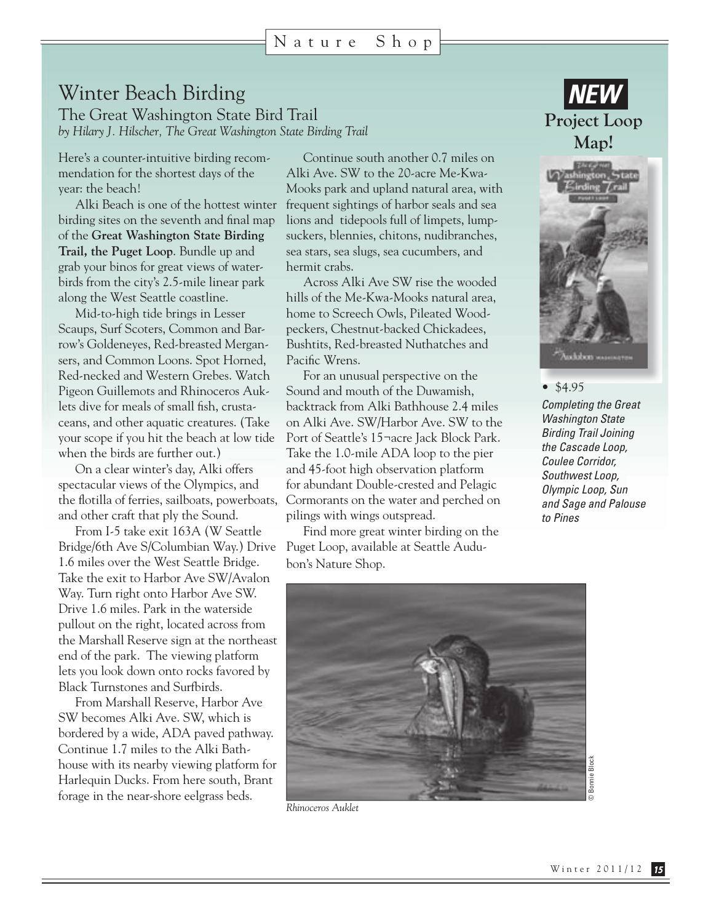## Winter Beach Birding

The Great Washington State Bird Trail *by Hilary J. Hilscher, The Great Washington State Birding Trail* 

Here's a counter-intuitive birding recommendation for the shortest days of the year: the beach!

Alki Beach is one of the hottest winter birding sites on the seventh and final map of the **Great Washington State Birding Trail, the Puget Loop**. Bundle up and grab your binos for great views of waterbirds from the city's 2.5-mile linear park along the West Seattle coastline.

Mid-to-high tide brings in Lesser Scaups, Surf Scoters, Common and Barrow's Goldeneyes, Red-breasted Mergansers, and Common Loons. Spot Horned, Red-necked and Western Grebes. Watch Pigeon Guillemots and Rhinoceros Auklets dive for meals of small fish, crustaceans, and other aquatic creatures. (Take your scope if you hit the beach at low tide when the birds are further out.)

On a clear winter's day, Alki offers spectacular views of the Olympics, and the flotilla of ferries, sailboats, powerboats, and other craft that ply the Sound.

From I-5 take exit 163A (W Seattle Bridge/6th Ave S/Columbian Way.) Drive 1.6 miles over the West Seattle Bridge. Take the exit to Harbor Ave SW/Avalon Way. Turn right onto Harbor Ave SW. Drive 1.6 miles. Park in the waterside pullout on the right, located across from the Marshall Reserve sign at the northeast end of the park. The viewing platform lets you look down onto rocks favored by Black Turnstones and Surfbirds.

From Marshall Reserve, Harbor Ave SW becomes Alki Ave. SW, which is bordered by a wide, ADA paved pathway. Continue 1.7 miles to the Alki Bathhouse with its nearby viewing platform for Harlequin Ducks. From here south, Brant forage in the near-shore eelgrass beds.

Continue south another 0.7 miles on Alki Ave. SW to the 20-acre Me-Kwa-Mooks park and upland natural area, with frequent sightings of harbor seals and sea lions and tidepools full of limpets, lumpsuckers, blennies, chitons, nudibranches, sea stars, sea slugs, sea cucumbers, and hermit crabs.

Across Alki Ave SW rise the wooded hills of the Me-Kwa-Mooks natural area, home to Screech Owls, Pileated Woodpeckers, Chestnut-backed Chickadees, Bushtits, Red-breasted Nuthatches and Pacific Wrens.

For an unusual perspective on the Sound and mouth of the Duwamish, backtrack from Alki Bathhouse 2.4 miles on Alki Ave. SW/Harbor Ave. SW to the Port of Seattle's 15¬acre Jack Block Park. Take the 1.0-mile ADA loop to the pier and 45-foot high observation platform for abundant Double-crested and Pelagic Cormorants on the water and perched on pilings with wings outspread.

Find more great winter birding on the Puget Loop, available at Seattle Audubon's Nature Shop.





• \$4.95

*Completing the Great Washington State Birding Trail Joining the Cascade Loop, Coulee Corridor, Southwest Loop, Olympic Loop, Sun and Sage and Palouse to Pines*



*Rhinoceros Auklet*